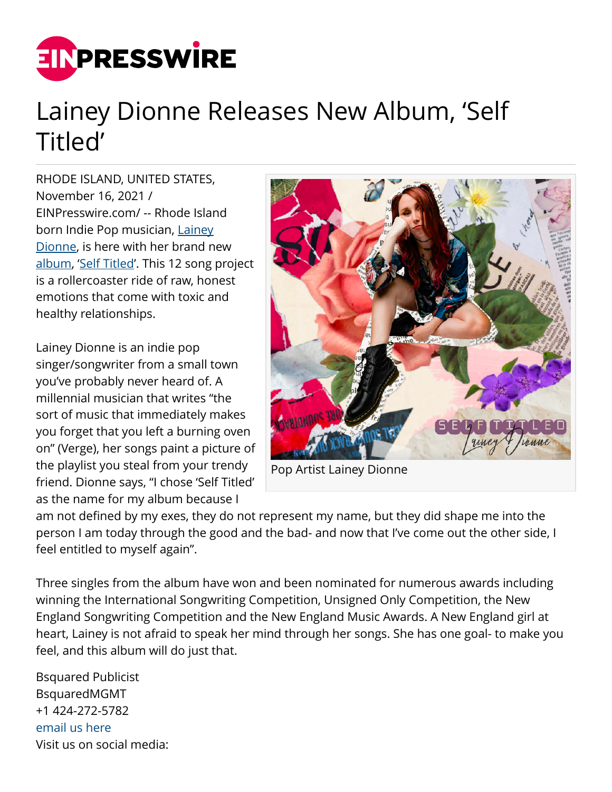

## Lainey Dionne Releases New Album, 'Self Titled'

RHODE ISLAND, UNITED STATES, November 16, 2021 / [EINPresswire.com](http://www.einpresswire.com)/ -- Rhode Island born Indie Pop musician, [Lainey](http://instagram.com/laineysmusic) [Dionne](http://instagram.com/laineysmusic), is here with her brand new [album,](https://www.laineydionne.com) '[Self Titled](https://open.spotify.com/album/1zGMYvTKtcNXthhYTq7AXe)'. This 12 song project is a rollercoaster ride of raw, honest emotions that come with toxic and healthy relationships.

Lainey Dionne is an indie pop singer/songwriter from a small town you've probably never heard of. A millennial musician that writes "the sort of music that immediately makes you forget that you left a burning oven on" (Verge), her songs paint a picture of the playlist you steal from your trendy friend. Dionne says, "I chose 'Self Titled' as the name for my album because I



Pop Artist Lainey Dionne

am not defined by my exes, they do not represent my name, but they did shape me into the person I am today through the good and the bad- and now that I've come out the other side, I feel entitled to myself again".

Three singles from the album have won and been nominated for numerous awards including winning the International Songwriting Competition, Unsigned Only Competition, the New England Songwriting Competition and the New England Music Awards. A New England girl at heart, Lainey is not afraid to speak her mind through her songs. She has one goal- to make you feel, and this album will do just that.

Bsquared Publicist BsquaredMGMT +1 424-272-5782 [email us here](http://www.einpresswire.com/contact_author/3198939) Visit us on social media: